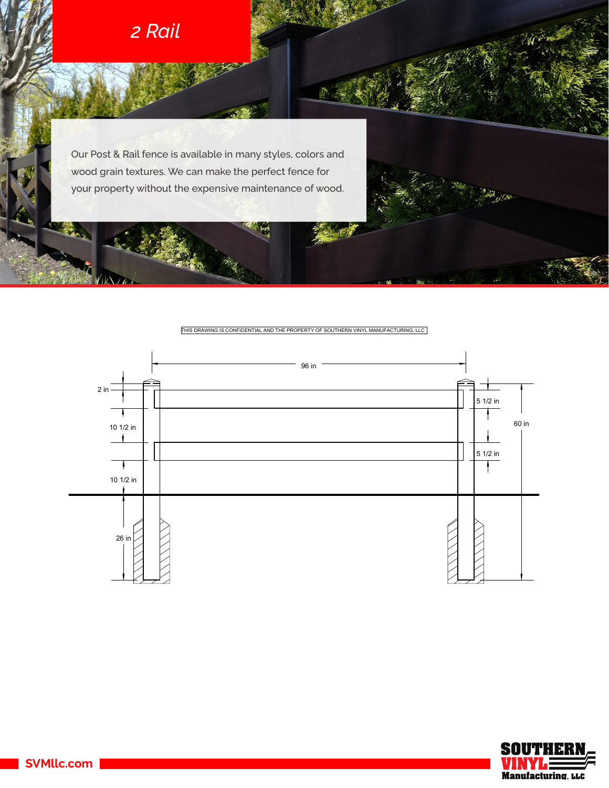

VIALO

Our Post & Rail fence is available in many styles, colors and wood grain textures. We can make the perfect fence for your property without the expensive maintenance of wood.

THIS DRAWING IS CONFIDENTIAL AND THE PROPERTY OF SOUTHERN VINYL MANUFACTURING, LLC